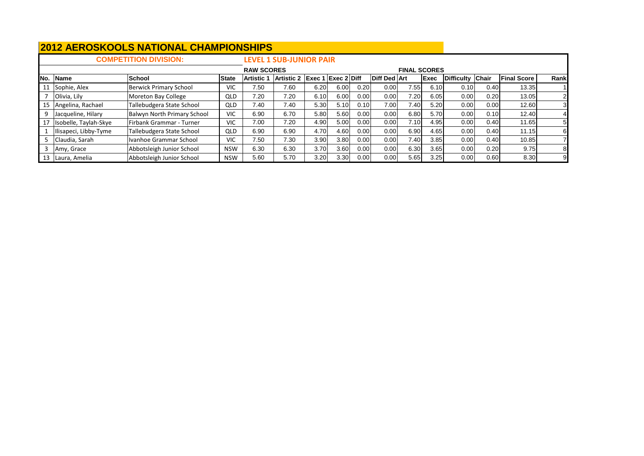|     |                       | <b>COMPETITION DIVISION:</b>       |              |                   | <b>LEVEL 1 SUB-JUNIOR PAIR</b> |      |                              |      |                     |                     |             |                  |      |                    |      |
|-----|-----------------------|------------------------------------|--------------|-------------------|--------------------------------|------|------------------------------|------|---------------------|---------------------|-------------|------------------|------|--------------------|------|
|     |                       |                                    |              | <b>RAW SCORES</b> |                                |      |                              |      |                     | <b>FINAL SCORES</b> |             |                  |      |                    |      |
| No. | <b>Name</b>           | <b>School</b>                      | <b>State</b> | Artistic          | Artistic 2 Exec 1              |      | $\left  \right $ Exec 2 Diff |      | <b>Diff Ded Art</b> |                     | <b>Exec</b> | Difficulty Chair |      | <b>Final Score</b> | Rank |
|     | Sophie, Alex          | Berwick Primary School             | <b>VIC</b>   | 7.50              | 7.60                           | 6.20 | 6.00                         | 0.20 | 0.00                | 7.551               | 6.10        | 0.10             | 0.40 | 13.35              |      |
|     | Olivia, Lily          | Moreton Bay College                | QLD          | 7.20              | 7.20                           | 6.10 | 6.00                         | 0.00 | 0.00                | 7.20                | 6.05        | 0.00             | 0.20 | 13.05              |      |
| 15  | Angelina, Rachael     | Tallebudgera State School          | QLD          | 7.40              | 7.40                           | 5.30 | 5.10                         | 0.10 | 7.00                | 7.40                | 5.20        | 0.00             | 0.00 | 12.60              | 31   |
| q   | Jacqueline, Hilary    | <b>Balwyn North Primary School</b> | <b>VIC</b>   | 6.90              | 6.70                           | 5.80 | 5.60                         | 0.00 | 0.00                | 6.80                | 5.70        | 0.00             | 0.10 | 12.40              |      |
|     | Isobelle, Taylah-Skye | Firbank Grammar - Turner           | <b>VIC</b>   | 7.00              | 7.20                           | 4.90 | 5.00                         | 0.00 | 0.00                | 7.10                | 4.95        | 0.00             | 0.40 | 11.65              | 51   |
|     | Ilisapeci, Libby-Tyme | Tallebudgera State School          | QLD          | 6.90              | 6.90                           | 4.70 | 4.60                         | 0.00 | 0.00                | 6.90                | 4.65        | 0.00             | 0.40 | 11.15              | 61   |
|     | Claudia, Sarah        | Ivanhoe Grammar School             | <b>VIC</b>   | 7.50              | 7.30                           | 3.90 | 3.80                         | 0.00 | 0.00                | 7.40                | 3.85        | 0.00             | 0.40 | 10.85              |      |
|     | Amy, Grace            | Abbotsleigh Junior School          | <b>NSW</b>   | 6.30              | 6.30                           | 3.70 | 3.60                         | 0.00 | 0.00                | 6.30                | 3.65        | 0.00             | 0.20 | 9.75               | 81   |
|     | Laura, Amelia         | Abbotsleigh Junior School          | <b>NSW</b>   | 5.60              | 5.70                           | 3.20 | 3.30                         | 0.00 | 0.00                | 5.65                | 3.25        | 0.00             | 0.60 | 8.30               | 9    |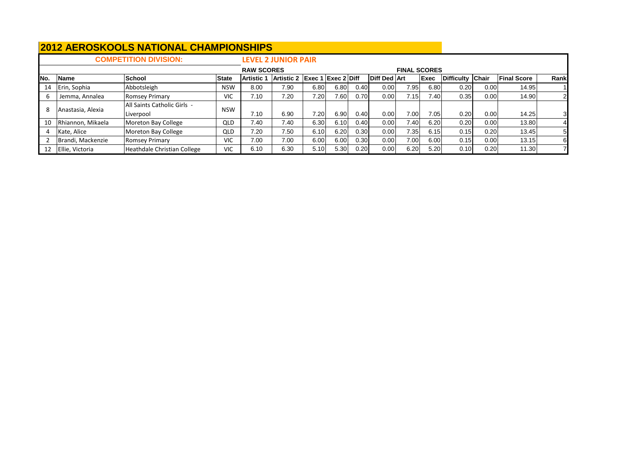|     |                   | <b>COMPETITION DIVISION:</b> |              |                   | <b>LEVEL 2 JUNIOR PAIR</b>    |                   |       |      |                     |                     |             |                  |      |                    |                |
|-----|-------------------|------------------------------|--------------|-------------------|-------------------------------|-------------------|-------|------|---------------------|---------------------|-------------|------------------|------|--------------------|----------------|
|     |                   |                              |              | <b>RAW SCORES</b> |                               |                   |       |      |                     | <b>FINAL SCORES</b> |             |                  |      |                    |                |
| No. | Name              | <b>School</b>                | <b>State</b> | <b>Artistic</b>   | Artistic 2 Exec 1 Exec 2 Diff |                   |       |      | <b>Diff Ded Art</b> |                     | <b>Exec</b> | Difficulty Chair |      | <b>Final Score</b> | <b>Rank</b>    |
| 14  | Erin, Sophia      | Abbotsleigh                  | <b>NSW</b>   | 8.00              | 7.90                          | 6.80              | 6.80  | 0.40 | 0.00                | 7.95                | 6.80        | 0.20             | 0.00 | 14.95              |                |
|     | Jemma, Annalea    | <b>Romsey Primary</b>        | <b>VIC</b>   | 7.10              | 7.20                          | 7.20 <sub>1</sub> | 7.60I | 0.70 | 0.00                | 7.15I               | 7.40        | 0.35             | 0.00 | 14.90              | $\overline{2}$ |
|     | Anastasia, Alexia | All Saints Catholic Girls -  | <b>NSW</b>   |                   |                               |                   |       |      |                     |                     |             |                  |      |                    |                |
|     |                   | Liverpool                    |              | 7.10              | 6.90                          | 7.20              | 6.90  | 0.40 | 0.00                | 7.00                | 7.05        | 0.20             | 0.00 | 14.25              | 31             |
| 10  | Rhiannon, Mikaela | Moreton Bay College          | QLD          | 7.40              | 7.40                          | 6.30              | 6.10  | 0.40 | 0.00                | 7.40                | 6.20        | 0.20             | 0.00 | 13.80              |                |
|     | Kate, Alice       | Moreton Bay College          | QLD          | 7.20              | 7.50                          | 6.10              | 6.20  | 0.30 | 0.00                | 7.35                | 6.15        | 0.15             | 0.20 | 13.45              | -5I            |
|     | Brandi, Mackenzie | <b>Romsey Primary</b>        | <b>VIC</b>   | 7.00              | 7.00                          | 6.00              | 6.00  | 0.30 | 0.00                | 7.00                | 6.00        | 0.15             | 0.00 | 13.15              | 61             |
| 12  | Ellie, Victoria   | Heathdale Christian College  | <b>VIC</b>   | 6.10              | 6.30                          | 5.10              | 5.30  | 0.20 | 0.00                | 6.20                | 5.20        | 0.10             | 0.20 | 11.30              |                |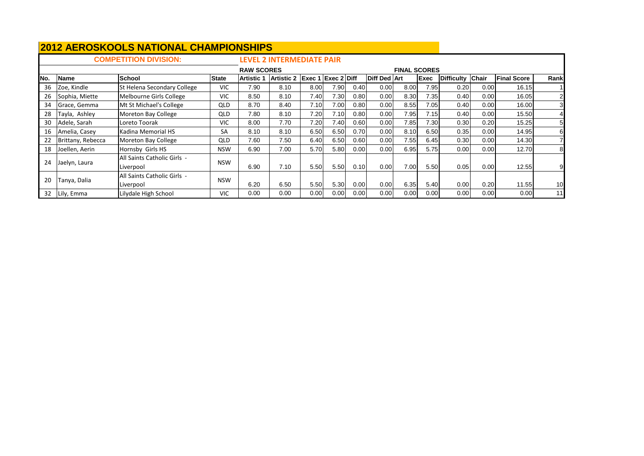|     |                                                                    | <b>COMPETITION DIVISION:</b>             |              |                   | <b>LEVEL 2 INTERMEDIATE PAIR</b> |      |                      |      |              |                     |             |                   |              |                    |      |
|-----|--------------------------------------------------------------------|------------------------------------------|--------------|-------------------|----------------------------------|------|----------------------|------|--------------|---------------------|-------------|-------------------|--------------|--------------------|------|
|     |                                                                    |                                          |              | <b>RAW SCORES</b> |                                  |      |                      |      |              | <b>FINAL SCORES</b> |             |                   |              |                    |      |
| No. | <b>Name</b>                                                        | <b>School</b>                            | <b>State</b> | <b>Artistic 1</b> | <b>Artistic 2</b>                |      | $Exec 1$ Exec 2 Diff |      | Diff Ded Art |                     | <b>Exec</b> | <b>Difficulty</b> | <b>Chair</b> | <b>Final Score</b> | Rank |
| 36  | Zoe, Kindle                                                        | St Helena Secondary College              | <b>VIC</b>   | 7.90              | 8.10                             | 8.00 | 7.90                 | 0.40 | 0.00         | 8.00                | 7.95        | 0.20              | 0.00         | 16.15              |      |
| 26  | Sophia, Miette                                                     | Melbourne Girls College                  | <b>VIC</b>   | 8.50              | 8.10                             | 7.40 | 7.30                 | 0.80 | 0.00         | 8.30                | 7.35        | 0.40              | 0.00         | 16.05              |      |
| 34  | Grace, Gemma                                                       | Mt St Michael's College                  | <b>QLD</b>   | 8.70              | 8.40                             | 7.10 | 7.00                 | 0.80 | 0.00         | 8.55                | 7.05        | 0.40              | 0.00         | 16.00              |      |
| 28  | Tayla, Ashley                                                      | <b>QLD</b>                               | 7.80         | 8.10              | 7.20                             | 7.10 | 0.80                 | 0.00 | 7.95         | 7.15                | 0.40        | 0.00              | 15.50        |                    |      |
| 30  | Moreton Bay College<br><b>VIC</b><br>Adele, Sarah<br>Loreto Toorak |                                          |              | 8.00              | 7.70                             | 7.20 | 7.40                 | 0.60 | 0.00         | 7.85                | 7.30        | 0.30              | 0.20         | 15.25              | 5    |
| 16  | Amelia, Casey                                                      | Kadina Memorial HS                       | <b>SA</b>    | 8.10              | 8.10                             | 6.50 | 6.50                 | 0.70 | 0.00         | 8.10                | 6.50        | 0.35              | 0.00         | 14.95              | 6    |
| 22  | Brittany, Rebecca                                                  | Moreton Bay College                      | <b>QLD</b>   | 7.60              | 7.50                             | 6.40 | 6.50                 | 0.60 | 0.00         | 7.55                | 6.45        | 0.30              | 0.00         | 14.30              |      |
| 18  | Joellen, Aerin                                                     | Hornsby Girls HS                         | <b>NSW</b>   | 6.90              | 7.00                             | 5.70 | 5.80                 | 0.00 | 0.00         | 6.95                | 5.75        | 0.00              | 0.00         | 12.70              | 8    |
| 24  | Jaelyn, Laura                                                      | <b>NSW</b>                               | 6.90         | 7.10              | 5.50                             | 5.50 | 0.10                 | 0.00 | 7.00         | 5.50                | 0.05        | 0.00              | 12.55        |                    |      |
| 20  | Tanya, Dalia                                                       | All Saints Catholic Girls -<br>Liverpool | <b>NSW</b>   | 6.20              | 6.50                             | 5.50 | 5.30                 | 0.00 | 0.00         | 6.35                | 5.40        | 0.00              | 0.20         | 11.55              | 10   |
| 32  | Lilydale High School<br><b>VIC</b><br>Lily, Emma                   |                                          |              | 0.00              | 0.00                             | 0.00 | 0.00                 | 0.00 | 0.00         | 0.00                | 0.00        | 0.00              | 0.00         | 0.00               | 11   |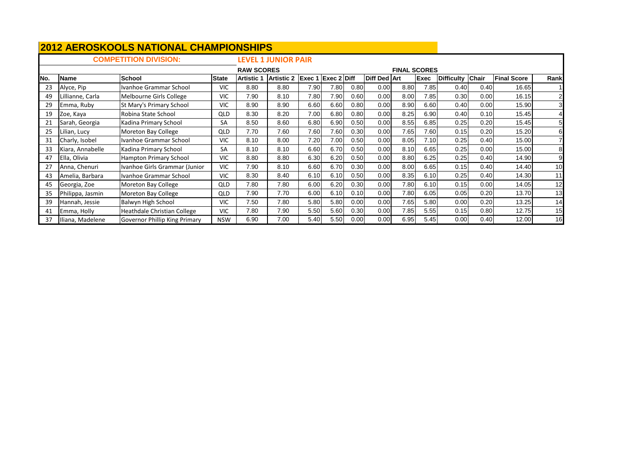|     |                  | <b>COMPETITION DIVISION:</b>  |              |                   | <b>LEVEL 1 JUNIOR PAIR</b> |        |                    |      |                     |                     |             |                  |      |                    |                |
|-----|------------------|-------------------------------|--------------|-------------------|----------------------------|--------|--------------------|------|---------------------|---------------------|-------------|------------------|------|--------------------|----------------|
|     |                  |                               |              | <b>RAW SCORES</b> |                            |        |                    |      |                     | <b>FINAL SCORES</b> |             |                  |      |                    |                |
| No. | <b>Name</b>      | <b>School</b>                 | <b>State</b> | <b>Artistic 1</b> | <b>Artistic 2</b>          | Exec 1 | <b>Exec 2 Diff</b> |      | <b>Diff Ded Art</b> |                     | <b>Exec</b> | Difficulty Chair |      | <b>Final Score</b> | Rank           |
| 23  | Alyce, Pip       | Ivanhoe Grammar School        | <b>VIC</b>   | 8.80              | 8.80                       | 7.90   | 7.80               | 0.80 | 0.00                | 8.80                | 7.85        | 0.40             | 0.40 | 16.65              |                |
| 49  | illianne, Carla  | Melbourne Girls College       | VIC.         | 7.90              | 8.10                       | 7.80   | 7.90               | 0.60 | 0.00                | 8.00                | 7.85        | 0.30             | 0.00 | 16.15              | $\overline{2}$ |
| 29  | Emma, Ruby       | St Mary's Primary School      | <b>VIC</b>   | 8.90              | 8.90                       | 6.60   | 6.60               | 0.80 | 0.00                | 8.90                | 6.60        | 0.40             | 0.00 | 15.90              | 3              |
| 19  | Zoe, Kaya        | Robina State School           | <b>QLD</b>   | 8.30              | 8.20                       | 7.00   | 6.80               | 0.80 | 0.00                | 8.25                | 6.90        | 0.40             | 0.10 | 15.45              |                |
| 21  | Sarah, Georgia   | Kadina Primary School         | SA           | 8.50              | 8.60                       | 6.80   | 6.90               | 0.50 | 0.00                | 8.55                | 6.85        | 0.25             | 0.20 | 15.45              | 5              |
| 25  | ilian, Lucy      | Moreton Bay College           | <b>QLD</b>   | 7.70              | 7.60                       | 7.60   | 7.60               | 0.30 | 0.00                | 7.65                | 7.60        | 0.15             | 0.20 | 15.20              | $6 \mid$       |
| 31  | Charly, Isobel   | Ivanhoe Grammar School        | <b>VIC</b>   | 8.10              | 8.00                       | 7.20   | 7.00               | 0.50 | 0.00                | 8.05                | 7.10        | 0.25             | 0.40 | 15.00              |                |
| 33  | Kiara, Annabelle | Kadina Primary School         | SA           | 8.10              | 8.10                       | 6.60   | 6.70               | 0.50 | 0.00                | 8.10                | 6.65        | 0.25             | 0.00 | 15.00              | 8              |
| 47  | Ella, Olivia     | Hampton Primary School        | <b>VIC</b>   | 8.80              | 8.80                       | 6.30   | 6.20               | 0.50 | 0.00                | 8.80                | 6.25        | 0.25             | 0.40 | 14.90              | 9              |
| 27  | Anna, Chenuri    | Ivanhoe Girls Grammar (Junior | <b>VIC</b>   | 7.90              | 8.10                       | 6.60   | 6.70               | 0.30 | 0.00                | 8.00                | 6.65        | 0.15             | 0.40 | 14.40              | 10             |
| 43  | Amelia, Barbara  | Ivanhoe Grammar School        | <b>VIC</b>   | 8.30              | 8.40                       | 6.10   | 6.10               | 0.50 | 0.00                | 8.35                | 6.10        | 0.25             | 0.40 | 14.30              | 11             |
| 45  | Georgia, Zoe     | Moreton Bay College           | <b>QLD</b>   | 7.80              | 7.80                       | 6.00   | 6.20               | 0.30 | 0.00                | 7.80                | 6.10        | 0.15             | 0.00 | 14.05              | 12             |
| 35  | Philippa, Jasmin | Moreton Bay College           | <b>QLD</b>   | 7.90              | 7.70                       | 6.00   | 6.10               | 0.10 | 0.00                | 7.80                | 6.05        | 0.05             | 0.20 | 13.70              | 13             |
| 39  | Hannah, Jessie   | Balwyn High School            | VIC.         | 7.50              | 7.80                       | 5.80   | 5.80               | 0.00 | 0.00                | 7.65                | 5.80        | 0.00             | 0.20 | 13.25              | 14             |
| 41  | Emma, Holly      | Heathdale Christian College   | <b>VIC</b>   | 7.80              | 7.90                       | 5.50   | 5.60               | 0.30 | 0.00                | 7.85                | 5.55        | 0.15             | 0.80 | 12.75              | 15             |
| 37  | Iliana, Madelene | Governor Phillip King Primary | <b>NSW</b>   | 6.90              | 7.00                       | 5.40   | 5.50               | 0.00 | 0.00                | 6.95                | 5.45        | 0.00             | 0.40 | 12.00              | 16             |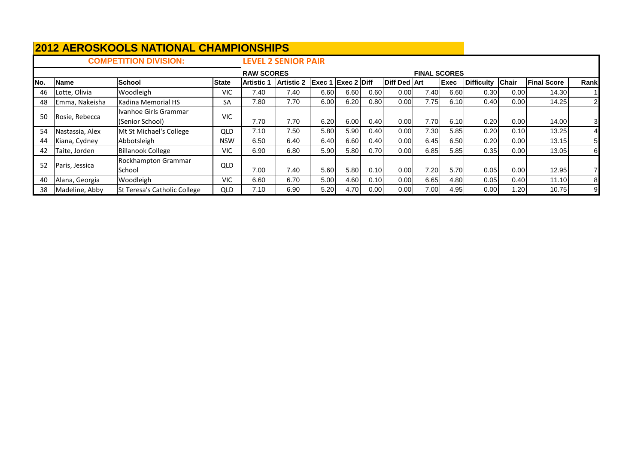|     |                                                               | <b>COMPETITION DIVISION:</b>             |              |                   | <b>LEVEL 2 SENIOR PAIR</b> |                           |      |      |              |                     |             |                   |              |                    |                |
|-----|---------------------------------------------------------------|------------------------------------------|--------------|-------------------|----------------------------|---------------------------|------|------|--------------|---------------------|-------------|-------------------|--------------|--------------------|----------------|
|     |                                                               |                                          |              | <b>RAW SCORES</b> |                            |                           |      |      |              | <b>FINAL SCORES</b> |             |                   |              |                    |                |
| No. | <b>Name</b>                                                   | <b>School</b>                            | <b>State</b> | <b>Artistic 1</b> | <b>Artistic 2</b>          | <b>Exec 1 Exec 2 Diff</b> |      |      | Diff Ded Art |                     | <b>Exec</b> | <b>Difficulty</b> | <b>Chair</b> | <b>Final Score</b> | Rank           |
| 46  | Lotte, Olivia                                                 | Woodleigh                                | <b>VIC</b>   | 7.40              | 7.40                       | 6.60                      | 6.60 | 0.60 | 0.00         | 7.40                | 6.60        | 0.30              | 0.00         | 14.30              |                |
| 48  | Emma, Nakeisha                                                | Kadina Memorial HS                       | SA           | 7.80              | 7.70                       | 6.00                      | 6.20 | 0.80 | 0.00         | 7.75                | 6.10        | 0.40              | 0.00         | 14.25              | $\overline{2}$ |
| 50  | Rosie, Rebecca                                                | Ivanhoe Girls Grammar<br>(Senior School) | <b>VIC</b>   | 7.70              | 7.70                       | 6.20                      | 6.00 | 0.40 | 0.00         | 7.70                | 6.10        | 0.20              | 0.00         | 14.00              | 3              |
| -54 | Nastassia, Alex                                               | Mt St Michael's College                  | <b>QLD</b>   | 7.10              | 7.50                       | 5.80                      | 5.90 | 0.40 | 0.00         | 7.30                | 5.85        | 0.20              | 0.10         | 13.25              | 41             |
| 44  | Kiana, Cydney                                                 | Abbotsleigh                              | <b>NSW</b>   | 6.50              | 6.40                       | 6.40                      | 6.60 | 0.40 | 0.00         | 6.45                | 6.50        | 0.20              | 0.00         | 13.15              | 51             |
| 42  | Taite, Jorden                                                 | <b>Billanook College</b>                 | <b>VIC</b>   | 6.90              | 6.80                       | 5.90                      | 5.80 | 0.70 | 0.00         | 6.85                | 5.85        | 0.35              | 0.00         | 13.05              | 6              |
| 52  | <b>Rockhampton Grammar</b><br>QLD<br>Paris, Jessica<br>School |                                          |              | 7.00              | 7.40                       | 5.60                      | 5.80 | 0.10 | 0.00         | 7.20                | 5.70        | 0.05              | 0.00         | 12.95              |                |
| -40 | Alana, Georgia                                                | Woodleigh                                | <b>VIC</b>   | 6.60              | 6.70                       | 5.00                      | 4.60 | 0.10 | 0.00         | 6.65                | 4.80        | 0.05              | 0.40         | 11.10              | 8              |
| 38  | Madeline, Abby                                                | St Teresa's Catholic College             | QLD          | 7.10              | 6.90                       | 5.20                      | 4.70 | 0.00 | 0.00         | 7.00                | 4.95        | 0.00              | 1.20         | 10.75              | 9              |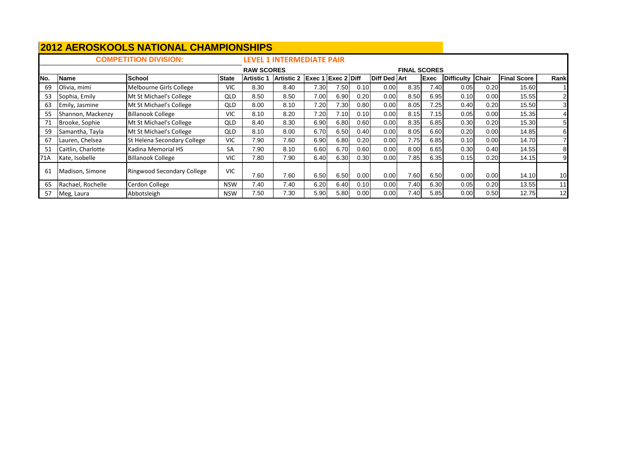|     |                    | <b>COMPETITION DIVISION:</b> |              |                   | <b>LEVEL 1 INTERMEDIATE PAIR</b> |      |                           |      |                     |                     |      |                   |       |                    |                |
|-----|--------------------|------------------------------|--------------|-------------------|----------------------------------|------|---------------------------|------|---------------------|---------------------|------|-------------------|-------|--------------------|----------------|
|     |                    |                              |              | <b>RAW SCORES</b> |                                  |      |                           |      |                     | <b>FINAL SCORES</b> |      |                   |       |                    |                |
| No. | <b>Name</b>        | <b>School</b>                | <b>State</b> | l Artistic 1      | <b>Artistic 2</b>                |      | <b>Exec 1 Exec 2 Diff</b> |      | <b>Diff Ded Art</b> |                     | Exec | <b>Difficulty</b> | Chair | <b>Final Score</b> | Rank           |
| 69  | Olivia, mimi       | Melbourne Girls College      | <b>VIC</b>   | 8.30              | 8.40                             | 7.30 | 7.50                      | 0.10 | 0.00                | 8.35                | 7.40 | 0.05              | 0.20  | 15.60              |                |
| 53  | Sophia, Emily      | Mt St Michael's College      | QLD          | 8.50              | 8.50                             | 7.00 | 6.90                      | 0.20 | 0.00                | 8.50                | 6.95 | 0.10              | 0.00  | 15.55              | 2 <sub>l</sub> |
| 63  | Emily, Jasmine     | Mt St Michael's College      | QLD          | 8.00              | 8.10                             | 7.20 | 7.30                      | 0.80 | 0.00                | 8.05                | 7.25 | 0.40              | 0.20  | 15.50              | 3 <sub>l</sub> |
| 55  | Shannon, Mackenzy  | <b>Billanook College</b>     | <b>VIC</b>   | 8.10              | 8.20                             | 7.20 | 7.10                      | 0.10 | 0.00                | 8.15                | 7.15 | 0.05              | 0.00  | 15.35              |                |
| 71  | Brooke, Sophie     | QLD                          | 8.40         | 8.30              | 6.90                             | 6.80 | 0.60                      | 0.00 | 8.35                | 6.85                | 0.30 | 0.20              | 15.30 | 5 <sub>l</sub>     |                |
| 59  | Samantha, Tayla    | Mt St Michael's College      | QLD          | 8.10              | 8.00                             | 6.70 | 6.50                      | 0.40 | 0.00                | 8.05                | 6.60 | 0.20              | 0.00  | 14.85              | 61             |
| 67  | Lauren, Chelsea    | St Helena Secondary College  | <b>VIC</b>   | 7.90              | 7.60                             | 6.90 | 6.80                      | 0.20 | 0.00                | 7.75                | 6.85 | 0.10              | 0.00  | 14.70              |                |
| 51  | Caitlin, Charlotte | Kadina Memorial HS           | SA           | 7.90              | 8.10                             | 6.60 | 6.70                      | 0.60 | 0.00                | 8.00                | 6.65 | 0.30              | 0.40  | 14.55              | 81             |
| 71A | Kate, Isobelle     | <b>Billanook College</b>     | <b>VIC</b>   | 7.80              | 7.90                             | 6.40 | 6.30                      | 0.30 | 0.00                | 7.85                | 6.35 | 0.15              | 0.20  | 14.15              | 91             |
| 61  | Madison, Simone    | <b>VIC</b>                   | 7.60         | 7.60              | 6.50                             | 6.50 | 0.00                      | 0.00 | 7.60                | 6.50                | 0.00 | 0.00              | 14.10 | 10                 |                |
| 65  | Rachael, Rochelle  | Cerdon College               | <b>NSW</b>   | 7.40              | 7.40                             | 6.20 | 6.40                      | 0.10 | 0.00                | 7.40                | 6.30 | 0.05              | 0.20  | 13.55              | 11             |
| 57  | Meg, Laura         | Abbotsleigh                  | <b>NSW</b>   | 7.50              | 7.30                             | 5.90 | 5.80                      | 0.00 | 0.00                | 7.40                | 5.85 | 0.00              | 0.50  | 12.75              | 12             |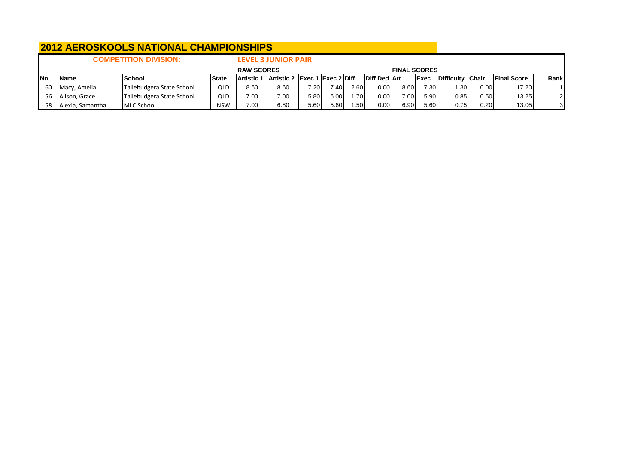|      |                                            | <b>COMPETITION DIVISION:</b> |                   |                               | <b>LEVEL 3 JUNIOR PAIR</b> |      |      |              |      |                     |                  |      |                    |                |                |
|------|--------------------------------------------|------------------------------|-------------------|-------------------------------|----------------------------|------|------|--------------|------|---------------------|------------------|------|--------------------|----------------|----------------|
|      |                                            |                              |                   | <b>RAW SCORES</b>             |                            |      |      |              |      | <b>FINAL SCORES</b> |                  |      |                    |                |                |
| INo. | <b>IName</b>                               | <b>State</b>                 | <b>Artistic 1</b> | Artistic 2 Exec 1 Exec 2 Diff |                            |      |      | Diff Ded Art |      | <b>Exec</b>         | Difficulty Chair |      | <b>Final Score</b> | Rank           |                |
| -60  | Macy, Amelia                               | Tallebudgera State School    | QLD               | 8.60                          | 8.60                       | 7.20 | 7.40 | 2.60         | 0.00 | 8.60                | 7.30             | .30  | 0.00               | 17.20          |                |
| 56   | Tallebudgera State School<br>Alison, Grace | QLD                          | 7.00              | 7.00                          | 5.80                       | 6.00 | 1.70 | 0.00         | 7.00 | 5.90                | 0.85             | 0.50 | 13.25              | 2 <sub>l</sub> |                |
| 58   | Alexia, Samantha                           | <b>MLC School</b>            | <b>NSW</b>        | 7.00                          | 6.80                       | 5.60 | 5.60 | l.50         | 0.00 | 6.90                | 5.60             | 0.75 | 0.20               | 13.05          | 3 <sub>l</sub> |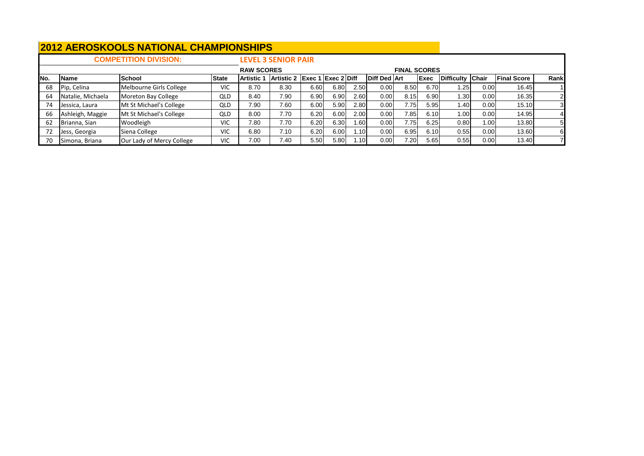|      |                                          | <b>COMPETITION DIVISION:</b> |              |                   | <b>LEVEL 3 SENIOR PAIR</b>    |      |      |      |                     |                     |      |                  |       |                    |      |
|------|------------------------------------------|------------------------------|--------------|-------------------|-------------------------------|------|------|------|---------------------|---------------------|------|------------------|-------|--------------------|------|
|      |                                          |                              |              | <b>RAW SCORES</b> |                               |      |      |      |                     | <b>FINAL SCORES</b> |      |                  |       |                    |      |
| INo. | <b>Name</b>                              | <b>School</b>                | <b>State</b> | <b>Artistic</b> 1 | Artistic 2 Exec 1 Exec 2 Diff |      |      |      | <b>Diff Ded Art</b> |                     | Exec | Difficulty Chair |       | <b>Final Score</b> | Rank |
| 68   | Pip, Celina                              | Melbourne Girls College      | <b>VIC</b>   | 8.70              | 8.30                          | 6.60 | 6.80 | 2.50 | 0.00                | 8.50                | 6.70 | .25              | 0.00  | 16.45              |      |
| 64   | Natalie, Michaela                        | Moreton Bay College          | <b>QLD</b>   | 8.40              | 7.90                          | 6.90 | 6.90 | 2.60 | 0.00                | 8.15                | 6.90 | .30 <sub>l</sub> | 0.00  | 16.35              |      |
| 74   | Jessica, Laura                           | Mt St Michael's College      | <b>QLD</b>   | 7.90              | 7.60                          | 6.00 | 5.90 | 2.80 | 0.00                | 7.75                | 5.95 | ا40.،            | 0.00  | 15.10              | 3    |
| 66   | Ashleigh, Maggie                         | Mt St Michael's College      | <b>QLD</b>   | 8.00              | 7.70                          | 6.20 | 6.00 | 2.00 | 0.00                | 7.85                | 6.10 | .00 <sub>1</sub> | 0.00  | 14.95              |      |
| 62   | Woodleigh<br>Brianna, Sian<br><b>VIC</b> |                              |              | 7.80              | 7.70                          | 6.20 | 6.30 | .60  | 0.00                | 7.75                | 6.25 | 0.80             | 1.00  | 13.80              | 51   |
|      | Jess, Georgia                            | <b>VIC</b>                   | 6.80         | 7.10              | 6.20                          | 6.00 | .10  | 0.00 | 6.95                | 6.10                | 0.55 | 0.00             | 13.60 | 61                 |      |
|      | Simona, Briana                           | Our Lady of Mercy College    | <b>VIC</b>   | 7.00              | 7.40                          | 5.50 | 5.80 | .101 | 0.00                | 7.20                | 5.65 | 0.55             | 0.00  | 13.40              |      |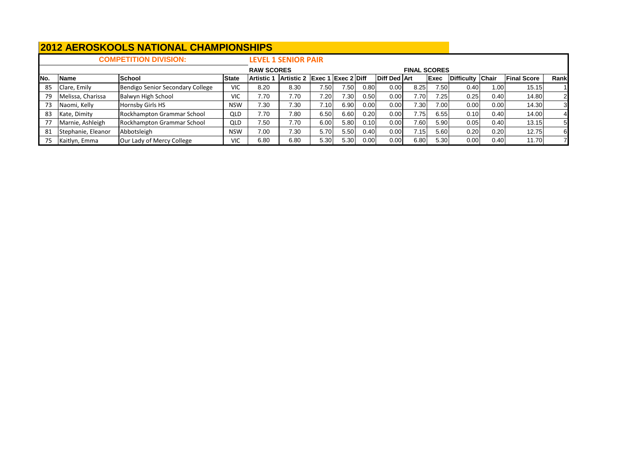|      |                    | <b>COMPETITION DIVISION:</b>     |              |                   | <b>LEVEL 1 SENIOR PAIR</b>    |                   |      |      |                     |                     |                   |                  |       |                    |      |
|------|--------------------|----------------------------------|--------------|-------------------|-------------------------------|-------------------|------|------|---------------------|---------------------|-------------------|------------------|-------|--------------------|------|
|      |                    |                                  |              | <b>RAW SCORES</b> |                               |                   |      |      |                     | <b>FINAL SCORES</b> |                   |                  |       |                    |      |
| INo. | Name               | School                           | <b>State</b> | <b>Artistic 1</b> | Artistic 2 Exec 1 Exec 2 Diff |                   |      |      | <b>Diff Ded Art</b> |                     | <b>Exec</b>       | Difficulty Chair |       | <b>Final Score</b> | Rank |
| 85   | Clare, Emily       | Bendigo Senior Secondary College | <b>VIC</b>   | 8.20              | 8.30                          | 7.50 <sub>1</sub> | 7.50 | 0.80 | 0.00                | 8.25                | 7.50              | 0.40             | 1.001 | 15.15              |      |
| 79   | Melissa, Charissa  | Balwyn High School               | <b>VIC</b>   | 7.70              | 7.70                          | 7.20              | 7.30 | 0.50 | 0.00                | 7.70                | 7.25 <sub>1</sub> | 0.25             | 0.40I | 14.80              | 21   |
| 73   | Naomi, Kelly       | Hornsby Girls HS                 | <b>NSW</b>   | 7.30              | 7.30                          | 7.10              | 6.90 | 0.00 | 0.00                | 7.30                | 7.00              | 0.00             | 0.00  | 14.30              | 31   |
| 83   | Kate, Dimity       | Rockhampton Grammar School       | QLD          | 7.70              | 7.80                          | 6.50              | 6.60 | 0.20 | 0.00                | 7.75                | 6.55              | 0.10             | 0.40  | 14.00              |      |
| 77   | Marnie, Ashleigh   | Rockhampton Grammar School       | <b>QLD</b>   | 7.50              | 7.70                          | 6.00              | 5.80 | 0.10 | 0.00                | 7.60                | 5.90              | 0.05             | 0.40  | 13.15              | 51   |
| -81  | Stephanie, Eleanor | <b>NSW</b>                       | 7.00         | 7.30              | 5.70                          | 5.50              | 0.40 | 0.00 | 7.15                | 5.60                | 0.20              | 0.20             | 12.75 | 61                 |      |
|      | Kaitlyn, Emma      | Our Lady of Mercy College        | <b>VIC</b>   | 6.80              | 6.80                          | 5.30              | 5.30 | 0.00 | 0.00                | 6.80                | 5.30              | 0.00             | 0.40  | 11.70              |      |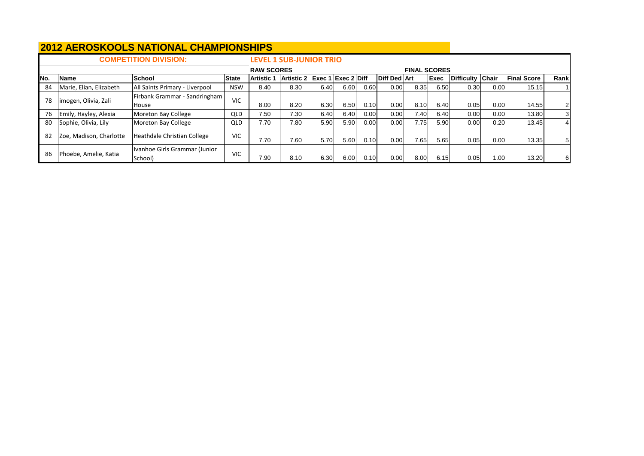|     |                         | <b>COMPETITION DIVISION:</b>             |              |                   | <b>LEVEL 1 SUB-JUNIOR TRIO</b> |                      |      |      |                     |                     |             |                  |                   |                    |                  |
|-----|-------------------------|------------------------------------------|--------------|-------------------|--------------------------------|----------------------|------|------|---------------------|---------------------|-------------|------------------|-------------------|--------------------|------------------|
|     |                         |                                          |              | <b>RAW SCORES</b> |                                |                      |      |      |                     | <b>FINAL SCORES</b> |             |                  |                   |                    |                  |
| No. | <b>Name</b>             | <b>School</b>                            | <b>State</b> | <b>Artistic 1</b> | Artistic 2                     | $Exec 1$ Exec 2 Diff |      |      | <b>Diff Ded Art</b> |                     | <b>Exec</b> | Difficulty Chair |                   | <b>Final Score</b> | Rank             |
| 84  | Marie, Elian, Elizabeth | All Saints Primary - Liverpool           | <b>NSW</b>   | 8.40              | 8.30                           | 6.40                 | 6.60 | 0.60 | 0.00                | 8.35                | 6.50        | 0.30             | 0.00              | 15.15              |                  |
| 78  | imogen, Olivia, Zali    | Firbank Grammar - Sandringham            | <b>VIC</b>   |                   |                                |                      |      |      |                     |                     |             |                  |                   |                    |                  |
|     |                         | <b>House</b>                             |              | 8.00              | 8.20                           | 6.30                 | 6.50 | 0.10 | 0.00                | 8.10                | 6.40        | 0.05             | 0.00              | 14.55              | 21               |
| 76  | Emily, Hayley, Alexia   | Moreton Bay College                      | <b>QLD</b>   | 7.50              | 7.30                           | 6.40                 | 6.40 | 0.00 | 0.00                | 7.40                | 6.40        | 0.00             | 0.00              | 13.80              | $3 \blacksquare$ |
| 80  | Sophie, Olivia, Lily    | Moreton Bay College                      | <b>QLD</b>   | 7.70              | 7.80                           | 5.90                 | 5.90 | 0.00 | 0.00                | 7.75                | 5.90        | 0.00             | 0.20              | 13.45              |                  |
| 82  | Zoe, Madison, Charlotte | Heathdale Christian College              | <b>VIC</b>   | 7.70              | 7.60                           | 5.70                 | 5.60 | 0.10 | 0.00                | 7.65                | 5.65        | 0.05             | 0.00              | 13.35              | 51               |
| 86  | Phoebe, Amelie, Katia   | Ivanhoe Girls Grammar (Junior<br>School) | <b>VIC</b>   | 7.90              | 8.10                           | 6.30                 | 6.00 | 0.10 | 0.00                | 8.00                | 6.15        | 0.05             | 1.00 <sub>l</sub> | 13.20              | 61               |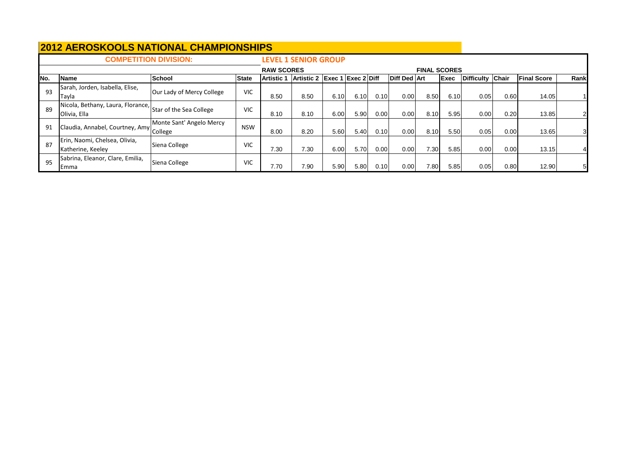|     | <b>COMPETITION DIVISION:</b>                                              |                           |              |                   | <b>LEVEL 1 SENIOR GROUP</b> |        |                    |      |                     |                     |             |                  |      |                    |                |
|-----|---------------------------------------------------------------------------|---------------------------|--------------|-------------------|-----------------------------|--------|--------------------|------|---------------------|---------------------|-------------|------------------|------|--------------------|----------------|
|     |                                                                           |                           |              | <b>RAW SCORES</b> |                             |        |                    |      |                     | <b>FINAL SCORES</b> |             |                  |      |                    |                |
| No. | Name                                                                      | <b>School</b>             | <b>State</b> | <b>Artistic 1</b> | <b>IArtistic 2</b>          | Exec 1 | <b>Exec 2 Diff</b> |      | <b>Diff Ded Art</b> |                     | <b>Exec</b> | Difficulty Chair |      | <b>Final Score</b> | Rank           |
| 93  | Sarah, Jorden, Isabella, Elise,<br>Tayla                                  | Our Lady of Mercy College | <b>VIC</b>   | 8.50              | 8.50                        | 6.10   | 6.10               | 0.10 | 0.00                | 8.50                | 6.10        | 0.05             | 0.60 | 14.05              |                |
| 89  | Nicola, Bethany, Laura, Florance, Star of the Sea College<br>Olivia, Ella |                           | <b>VIC</b>   | 8.10              | 8.10                        | 6.00   | 5.90               | 0.00 | 0.00                | 8.10                | 5.95        | 0.00             | 0.20 | 13.85              | $\overline{2}$ |
| 91  | IClaudia, Annabel, Courtney, Amy College                                  | Monte Sant' Angelo Mercy  | <b>NSW</b>   | 8.00              | 8.20                        | 5.60   | 5.40               | 0.10 | 0.00                | 8.10                | 5.50        | 0.05             | 0.00 | 13.65              | 31             |
| 87  | Erin, Naomi, Chelsea, Olivia,<br>Katherine, Keeley                        | Siena College             | <b>VIC</b>   | 7.30              | 7.30                        | 6.00   | 5.70               | 0.00 | 0.00                | 7.30                | 5.85        | 0.00             | 0.00 | 13.15              |                |
| 95  | Sabrina, Eleanor, Clare, Emilia,<br><b>I</b> Emma                         | Siena College             | <b>VIC</b>   | 7.70              | 7.90                        | 5.90   | 5.80               | 0.10 | 0.00                | 7.80                | 5.85        | 0.05             | 0.80 | 12.90              | 51             |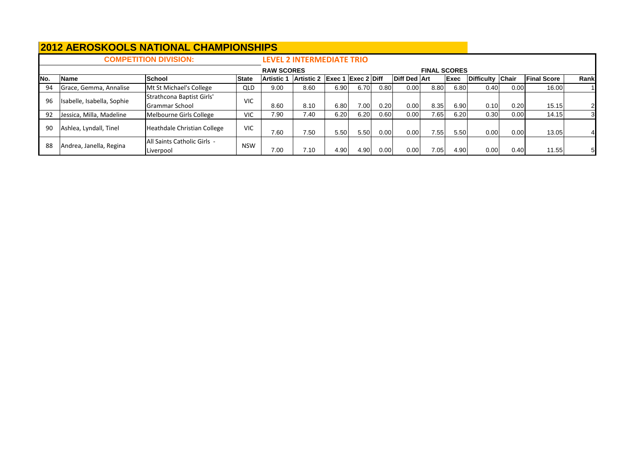|      |                            | <b>COMPETITION DIVISION:</b>                |              |                   | <b>LEVEL 2 INTERMEDIATE TRIO</b> |        |                                |      |                     |                     |             |                  |      |                    |                |
|------|----------------------------|---------------------------------------------|--------------|-------------------|----------------------------------|--------|--------------------------------|------|---------------------|---------------------|-------------|------------------|------|--------------------|----------------|
|      |                            |                                             |              | <b>RAW SCORES</b> |                                  |        |                                |      |                     | <b>FINAL SCORES</b> |             |                  |      |                    |                |
| INo. | Name                       | <b>School</b>                               | <b>State</b> | <b>Artistic 1</b> | <b>Artistic 2</b>                | Exec 1 | $\textsf{Exec 2}\textsf{Diff}$ |      | <b>Diff Ded Art</b> |                     | <b>Exec</b> | Difficulty Chair |      | <b>Final Score</b> | Rank           |
| 94   | Grace, Gemma, Annalise     | Mt St Michael's College                     | QLD          | 9.00              | 8.60                             | 6.90   | 6.70                           | 0.80 | 0.00                | 8.80                | 6.80        | 0.40             | 0.00 | 16.00              |                |
| 96   | Isabelle, Isabella, Sophie | Strathcona Baptist Girls'<br>Grammar School | <b>VIC</b>   | 8.60              | 8.10                             | 6.80   | 7.00                           | 0.20 | 0.00                | 8.35                | 6.90        | 0.10             | 0.20 | 15.15              |                |
| 92   | Jessica, Milla, Madeline   | Melbourne Girls College                     | <b>VIC</b>   | 7.90              | 7.40                             | 6.20   | 6.20                           | 0.60 | 0.00                | 7.65                | 6.20        | 0.30             | 0.00 | 14.15              | 3              |
| 90   | Ashlea, Lyndall, Tinel     | Heathdale Christian College                 | <b>VIC</b>   | 7.60              | 7.50                             | 5.50   | 5.50                           | 0.00 | 0.00                | 7.55                | 5.50        | 0.00             | 0.00 | 13.05              | $\overline{4}$ |
| 88   | Andrea, Janella, Regina    | All Saints Catholic Girls -<br>Liverpool    | <b>NSW</b>   | 7.00              | 7.10                             | 4.90   | 4.90                           | 0.00 | 0.00                | 7.05                | 4.90        | 0.00             | 0.40 | 11.55              | 51             |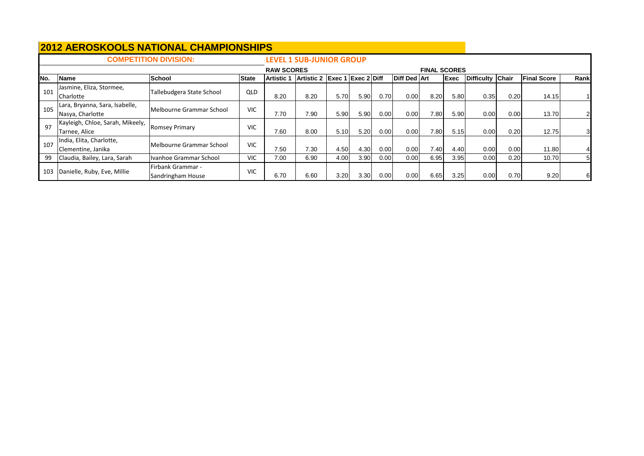| <b>COMPETITION DIVISION:</b> |                                                    |                                               |              |                 | <b>LEVEL 1 SUB-JUNIOR GROUP</b> |                                      |      |      |                     |      |             |                  |      |                    |      |  |
|------------------------------|----------------------------------------------------|-----------------------------------------------|--------------|-----------------|---------------------------------|--------------------------------------|------|------|---------------------|------|-------------|------------------|------|--------------------|------|--|
|                              |                                                    | <b>RAW SCORES</b>                             |              |                 |                                 |                                      |      |      | <b>FINAL SCORES</b> |      |             |                  |      |                    |      |  |
| INo.                         | Name                                               | School                                        | <b>State</b> | <b>Artistic</b> | <b>Artistic 2</b>               | $\left $ Exec 1 $\left $ Exec 2 Diff |      |      | Diff Ded Art        |      | <b>Exec</b> | Difficulty Chair |      | <b>Final Score</b> | Rank |  |
| 101                          | Jasmine, Eliza, Stormee,<br>Charlotte              | Tallebudgera State School                     | <b>QLD</b>   | 8.20            | 8.20                            | 5.70                                 | 5.90 | 0.70 | 0.00                | 8.20 | 5.80        | 0.35             | 0.20 | 14.15              |      |  |
| 105                          | Lara, Bryanna, Sara, Isabelle,<br>Nasya, Charlotte | Melbourne Grammar School                      | <b>VIC</b>   | 7.70            | 7.90                            | 5.90                                 | 5.90 | 0.00 | 0.00                | 7.80 | 5.90        | 0.00             | 0.00 | 13.70              |      |  |
| 97                           | Kayleigh, Chloe, Sarah, Mikeely,<br>Tarnee, Alice  | <b>Romsey Primary</b>                         | <b>VIC</b>   | 7.60            | 8.00                            | 5.10                                 | 5.20 | 0.00 | 0.00                | 7.80 | 5.15        | 0.00             | 0.20 | 12.75              | 31   |  |
| 107                          | India, Elita, Charlotte,<br>Clementine, Janika     | Melbourne Grammar School                      | <b>VIC</b>   | 7.50            | 7.30                            | 4.50                                 | 4.30 | 0.00 | 0.00                | 7.40 | 4.40        | 0.00             | 0.00 | 11.80              |      |  |
| 99                           | Claudia, Bailey, Lara, Sarah                       | Ivanhoe Grammar School                        | <b>VIC</b>   | 7.00            | 6.90                            | 4.00                                 | 3.90 | 0.00 | 0.00                | 6.95 | 3.95        | 0.00             | 0.20 | 10.70              | 51   |  |
| 103                          | Danielle, Ruby, Eve, Millie                        | <b>Firbank Grammar -</b><br>Sandringham House | <b>VIC</b>   | 6.70            | 6.60                            | 3.20                                 | 3.30 | 0.00 | 0.00                | 6.65 | 3.25        | 0.00             | 0.70 | 9.20               | 61   |  |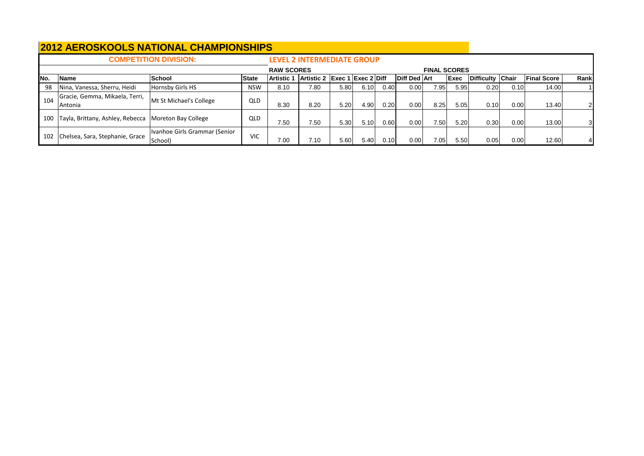| <b>COMPETITION DIVISION:</b> |                                                  |                                          |              |                   | <b>LEVEL 2 INTERMEDIATE GROUP</b> |      |      |      |                     |      |      |                  |      |                    |      |  |
|------------------------------|--------------------------------------------------|------------------------------------------|--------------|-------------------|-----------------------------------|------|------|------|---------------------|------|------|------------------|------|--------------------|------|--|
|                              |                                                  | <b>RAW SCORES</b>                        |              |                   |                                   |      |      |      | <b>FINAL SCORES</b> |      |      |                  |      |                    |      |  |
| INo.                         | <b>IName</b>                                     | <b>School</b>                            | <b>State</b> | <b>Artistic 1</b> | Artistic 2 Exec 1 Exec 2 Diff     |      |      |      | Diff Ded Art        |      | Exec | Difficulty Chair |      | <b>Final Score</b> | Rank |  |
| -98                          | Nina, Vanessa, Sherru, Heidi                     | Hornsby Girls HS                         | <b>NSW</b>   | 8.10              | 7.80                              | 5.80 | 6.10 | 0.40 | 0.00                | 7.95 | 5.95 | 0.20             | 0.10 | 14.00              |      |  |
| 104                          | Gracie, Gemma, Mikaela, Terri,<br><b>Antonia</b> | Mt St Michael's College                  | QLD          | 8.30              | 8.20                              | 5.20 | 4.90 | 0.20 | 0.00                | 8.25 | 5.05 | 0.10             | 0.00 | 13.40              |      |  |
| 100                          | Tayla, Brittany, Ashley, Rebecca                 | Moreton Bay College                      | QLD          | 7.50              | 7.50                              | 5.30 | 5.10 | 0.60 | 0.00                | 7.50 | 5.20 | 0.30             | 0.00 | 13.00              |      |  |
| 102                          | Chelsea, Sara, Stephanie, Grace                  | Ivanhoe Girls Grammar (Senior<br>School) | <b>VIC</b>   | 7.00              | 7.10                              | 5.60 | 5.40 | 0.10 | 0.00                | 7.05 | 5.50 | 0.05             | 0.00 | 12.60              |      |  |